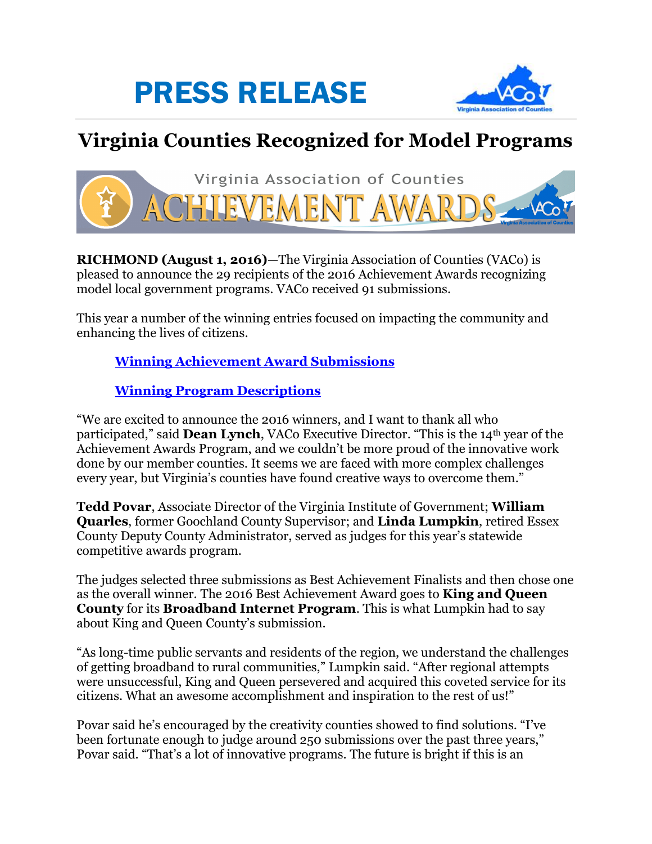



## **Virginia Counties Recognized for Model Programs**



**RICHMOND (August 1, 2016)**—The Virginia Association of Counties (VACo) is pleased to announce the 29 recipients of the 2016 Achievement Awards recognizing model local government programs. VACo received 91 submissions.

This year a number of the winning entries focused on impacting the community and enhancing the lives of citizens.

## **[Winning Achievement Award Submissions](http://www.vaco.org/VACoHonors/AchievementAwards/2016/16Winners.pdf)**

## **[Winning Program Descriptions](http://www.vaco.org/PressReleases/16Releases/16ProgramDescription.pdf)**

"We are excited to announce the 2016 winners, and I want to thank all who participated," said **Dean Lynch**, VACo Executive Director. "This is the 14th year of the Achievement Awards Program, and we couldn't be more proud of the innovative work done by our member counties. It seems we are faced with more complex challenges every year, but Virginia's counties have found creative ways to overcome them."

**Tedd Povar**, Associate Director of the Virginia Institute of Government; **William Quarles**, former Goochland County Supervisor; and **Linda Lumpkin**, retired Essex County Deputy County Administrator, served as judges for this year's statewide competitive awards program.

The judges selected three submissions as Best Achievement Finalists and then chose one as the overall winner. The 2016 Best Achievement Award goes to **King and Queen County** for its **Broadband Internet Program**. This is what Lumpkin had to say about King and Queen County's submission.

"As long-time public servants and residents of the region, we understand the challenges of getting broadband to rural communities," Lumpkin said. "After regional attempts were unsuccessful, King and Queen persevered and acquired this coveted service for its citizens. What an awesome accomplishment and inspiration to the rest of us!"

Povar said he's encouraged by the creativity counties showed to find solutions. "I've been fortunate enough to judge around 250 submissions over the past three years," Povar said. "That's a lot of innovative programs. The future is bright if this is an